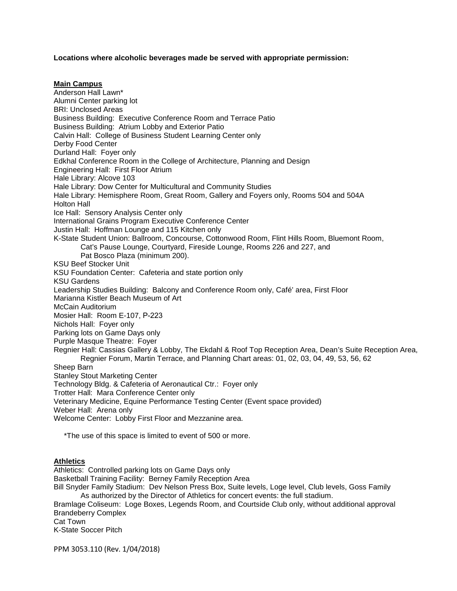**Locations where alcoholic beverages made be served with appropriate permission:**

**Main Campus** Anderson Hall Lawn\* Alumni Center parking lot BRI: Unclosed Areas Business Building: Executive Conference Room and Terrace Patio Business Building: Atrium Lobby and Exterior Patio Calvin Hall: College of Business Student Learning Center only Derby Food Center Durland Hall: Foyer only Edkhal Conference Room in the College of Architecture, Planning and Design Engineering Hall: First Floor Atrium Hale Library: Alcove 103 Hale Library: Dow Center for Multicultural and Community Studies Hale Library: Hemisphere Room, Great Room, Gallery and Foyers only, Rooms 504 and 504A Holton Hall Ice Hall: Sensory Analysis Center only International Grains Program Executive Conference Center Justin Hall: Hoffman Lounge and 115 Kitchen only K-State Student Union: Ballroom, Concourse, Cottonwood Room, Flint Hills Room, Bluemont Room, Cat's Pause Lounge, Courtyard, Fireside Lounge, Rooms 226 and 227, and Pat Bosco Plaza (minimum 200). KSU Beef Stocker Unit KSU Foundation Center: Cafeteria and state portion only KSU Gardens Leadership Studies Building: Balcony and Conference Room only, Café' area, First Floor Marianna Kistler Beach Museum of Art McCain Auditorium Mosier Hall: Room E-107, P-223 Nichols Hall: Foyer only Parking lots on Game Days only Purple Masque Theatre: Foyer Regnier Hall: Cassias Gallery & Lobby, The Ekdahl & Roof Top Reception Area, Dean's Suite Reception Area, Regnier Forum, Martin Terrace, and Planning Chart areas: 01, 02, 03, 04, 49, 53, 56, 62 Sheep Barn Stanley Stout Marketing Center Technology Bldg. & Cafeteria of Aeronautical Ctr.: Foyer only Trotter Hall: Mara Conference Center only Veterinary Medicine, Equine Performance Testing Center (Event space provided) Weber Hall: Arena only Welcome Center: Lobby First Floor and Mezzanine area. \*The use of this space is limited to event of 500 or more.

### **Athletics**

Athletics: Controlled parking lots on Game Days only Basketball Training Facility: Berney Family Reception Area Bill Snyder Family Stadium: Dev Nelson Press Box, Suite levels, Loge level, Club levels, Goss Family As authorized by the Director of Athletics for concert events: the full stadium. Bramlage Coliseum: Loge Boxes, Legends Room, and Courtside Club only, without additional approval Brandeberry Complex Cat Town K-State Soccer Pitch

PPM 3053.110 (Rev. 1/04/2018)